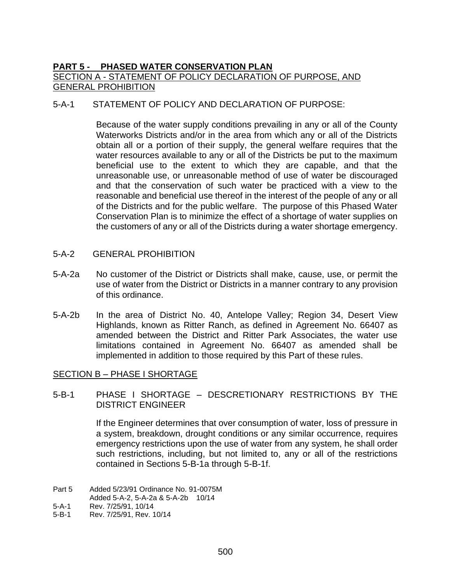# **PART 5 - PHASED WATER CONSERVATION PLAN**  SECTION A - STATEMENT OF POLICY DECLARATION OF PURPOSE, AND GENERAL PROHIBITION

### 5-A-1 STATEMENT OF POLICY AND DECLARATION OF PURPOSE:

Because of the water supply conditions prevailing in any or all of the County Waterworks Districts and/or in the area from which any or all of the Districts obtain all or a portion of their supply, the general welfare requires that the water resources available to any or all of the Districts be put to the maximum beneficial use to the extent to which they are capable, and that the unreasonable use, or unreasonable method of use of water be discouraged and that the conservation of such water be practiced with a view to the reasonable and beneficial use thereof in the interest of the people of any or all of the Districts and for the public welfare. The purpose of this Phased Water Conservation Plan is to minimize the effect of a shortage of water supplies on the customers of any or all of the Districts during a water shortage emergency.

- 5-A-2 GENERAL PROHIBITION
- 5-A-2a No customer of the District or Districts shall make, cause, use, or permit the use of water from the District or Districts in a manner contrary to any provision of this ordinance.
- 5-A-2b In the area of District No. 40, Antelope Valley; Region 34, Desert View Highlands, known as Ritter Ranch, as defined in Agreement No. 66407 as amended between the District and Ritter Park Associates, the water use limitations contained in Agreement No. 66407 as amended shall be implemented in addition to those required by this Part of these rules.

#### SECTION B – PHASE I SHORTAGE

#### 5-B-1 PHASE I SHORTAGE – DESCRETIONARY RESTRICTIONS BY THE DISTRICT ENGINEER

If the Engineer determines that over consumption of water, loss of pressure in a system, breakdown, drought conditions or any similar occurrence, requires emergency restrictions upon the use of water from any system, he shall order such restrictions, including, but not limited to, any or all of the restrictions contained in Sections 5-B-1a through 5-B-1f.

- 5-A-1 Rev. 7/25/91, 10/14
- 5-B-1 Rev. 7/25/91, Rev. 10/14

Part 5 Added 5/23/91 Ordinance No. 91-0075M

Added 5-A-2, 5-A-2a & 5-A-2b 10/14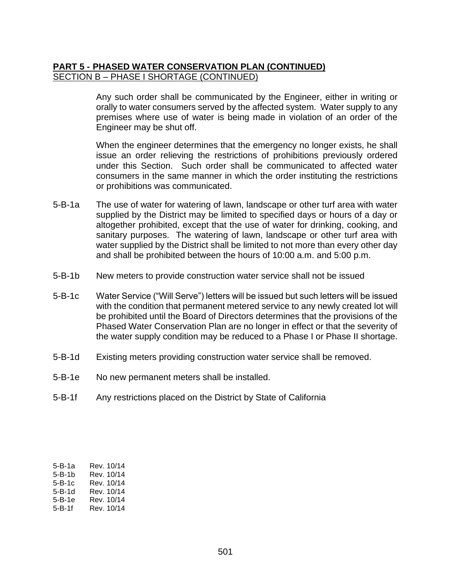### **PART 5 - PHASED WATER CONSERVATION PLAN (CONTINUED)**  SECTION B – PHASE I SHORTAGE (CONTINUED)

Any such order shall be communicated by the Engineer, either in writing or orally to water consumers served by the affected system. Water supply to any premises where use of water is being made in violation of an order of the Engineer may be shut off.

When the engineer determines that the emergency no longer exists, he shall issue an order relieving the restrictions of prohibitions previously ordered under this Section. Such order shall be communicated to affected water consumers in the same manner in which the order instituting the restrictions or prohibitions was communicated.

- 5-B-1a The use of water for watering of lawn, landscape or other turf area with water supplied by the District may be limited to specified days or hours of a day or altogether prohibited, except that the use of water for drinking, cooking, and sanitary purposes. The watering of lawn, landscape or other turf area with water supplied by the District shall be limited to not more than every other day and shall be prohibited between the hours of 10:00 a.m. and 5:00 p.m.
- 5-B-1b New meters to provide construction water service shall not be issued
- 5-B-1c Water Service ("Will Serve") letters will be issued but such letters will be issued with the condition that permanent metered service to any newly created lot will be prohibited until the Board of Directors determines that the provisions of the Phased Water Conservation Plan are no longer in effect or that the severity of the water supply condition may be reduced to a Phase I or Phase II shortage.
- 5-B-1d Existing meters providing construction water service shall be removed.
- 5-B-1e No new permanent meters shall be installed.
- 5-B-1f Any restrictions placed on the District by State of California

| 5-B-1a | Rev. 10/14 |
|--------|------------|
| 5-B-1b | Rev. 10/14 |
| 5-B-1c | Rev. 10/14 |
| 5-B-1d | Rev. 10/14 |
| 5-B-1e | Rev. 10/14 |
| 5-B-1f | Rev. 10/14 |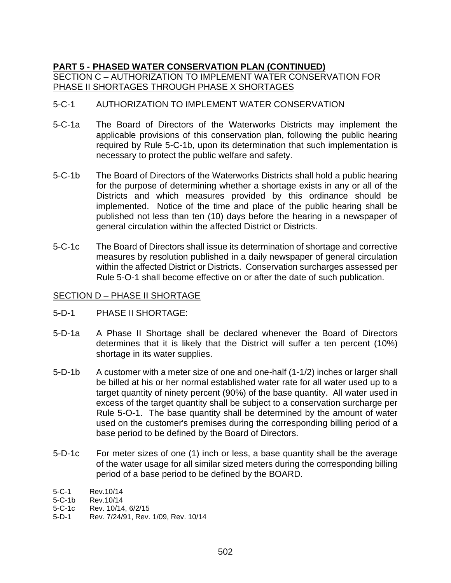# **PART 5 - PHASED WATER CONSERVATION PLAN (CONTINUED)**  SECTION C – AUTHORIZATION TO IMPLEMENT WATER CONSERVATION FOR PHASE II SHORTAGES THROUGH PHASE X SHORTAGES

### 5-C-1 AUTHORIZATION TO IMPLEMENT WATER CONSERVATION

- 5-C-1a The Board of Directors of the Waterworks Districts may implement the applicable provisions of this conservation plan, following the public hearing required by Rule 5-C-1b, upon its determination that such implementation is necessary to protect the public welfare and safety.
- 5-C-1b The Board of Directors of the Waterworks Districts shall hold a public hearing for the purpose of determining whether a shortage exists in any or all of the Districts and which measures provided by this ordinance should be implemented. Notice of the time and place of the public hearing shall be published not less than ten (10) days before the hearing in a newspaper of general circulation within the affected District or Districts.
- 5-C-1c The Board of Directors shall issue its determination of shortage and corrective measures by resolution published in a daily newspaper of general circulation within the affected District or Districts. Conservation surcharges assessed per Rule 5-O-1 shall become effective on or after the date of such publication.

#### SECTION D – PHASE II SHORTAGE

- 5-D-1 PHASE II SHORTAGE:
- 5-D-1a A Phase II Shortage shall be declared whenever the Board of Directors determines that it is likely that the District will suffer a ten percent (10%) shortage in its water supplies.
- 5-D-1b A customer with a meter size of one and one-half (1-1/2) inches or larger shall be billed at his or her normal established water rate for all water used up to a target quantity of ninety percent (90%) of the base quantity. All water used in excess of the target quantity shall be subject to a conservation surcharge per Rule 5-O-1. The base quantity shall be determined by the amount of water used on the customer's premises during the corresponding billing period of a base period to be defined by the Board of Directors.
- 5-D-1c For meter sizes of one (1) inch or less, a base quantity shall be the average of the water usage for all similar sized meters during the corresponding billing period of a base period to be defined by the BOARD.
- 5-C-1 Rev.10/14
- 5-C-1b Rev. 10/14
- 5-C-1c Rev. 10/14, 6/2/15
- 5-D-1 Rev. 7/24/91, Rev. 1/09, Rev. 10/14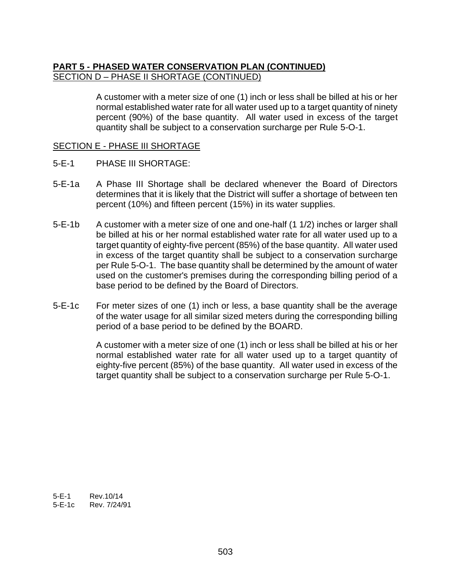### **PART 5 - PHASED WATER CONSERVATION PLAN (CONTINUED)**  SECTION D – PHASE II SHORTAGE (CONTINUED)

A customer with a meter size of one (1) inch or less shall be billed at his or her normal established water rate for all water used up to a target quantity of ninety percent (90%) of the base quantity. All water used in excess of the target quantity shall be subject to a conservation surcharge per Rule 5-O-1.

#### SECTION E - PHASE III SHORTAGE

- 5-E-1 PHASE III SHORTAGE:
- 5-E-1a A Phase III Shortage shall be declared whenever the Board of Directors determines that it is likely that the District will suffer a shortage of between ten percent (10%) and fifteen percent (15%) in its water supplies.
- 5-E-1b A customer with a meter size of one and one-half (1 1/2) inches or larger shall be billed at his or her normal established water rate for all water used up to a target quantity of eighty-five percent (85%) of the base quantity. All water used in excess of the target quantity shall be subject to a conservation surcharge per Rule 5-O-1. The base quantity shall be determined by the amount of water used on the customer's premises during the corresponding billing period of a base period to be defined by the Board of Directors.
- 5-E-1c For meter sizes of one (1) inch or less, a base quantity shall be the average of the water usage for all similar sized meters during the corresponding billing period of a base period to be defined by the BOARD.

A customer with a meter size of one (1) inch or less shall be billed at his or her normal established water rate for all water used up to a target quantity of eighty-five percent (85%) of the base quantity. All water used in excess of the target quantity shall be subject to a conservation surcharge per Rule 5-O-1.

5-E-1 Rev.10/14 5-E-1c Rev. 7/24/91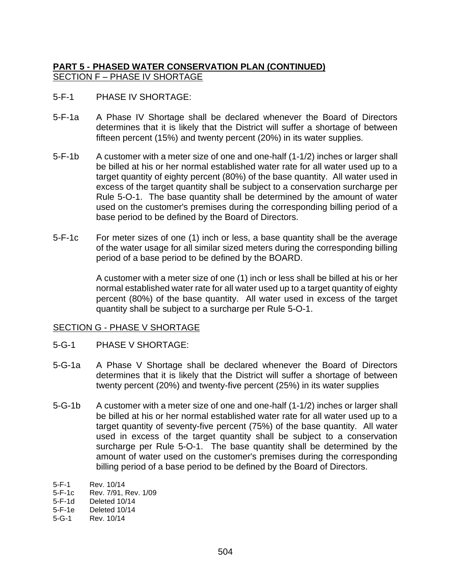# **PART 5 - PHASED WATER CONSERVATION PLAN (CONTINUED)** SECTION F – PHASE IV SHORTAGE

- 5-F-1 PHASE IV SHORTAGE:
- 5-F-1a A Phase IV Shortage shall be declared whenever the Board of Directors determines that it is likely that the District will suffer a shortage of between fifteen percent (15%) and twenty percent (20%) in its water supplies.
- 5-F-1b A customer with a meter size of one and one-half (1-1/2) inches or larger shall be billed at his or her normal established water rate for all water used up to a target quantity of eighty percent (80%) of the base quantity. All water used in excess of the target quantity shall be subject to a conservation surcharge per Rule 5-O-1. The base quantity shall be determined by the amount of water used on the customer's premises during the corresponding billing period of a base period to be defined by the Board of Directors.
- 5-F-1c For meter sizes of one (1) inch or less, a base quantity shall be the average of the water usage for all similar sized meters during the corresponding billing period of a base period to be defined by the BOARD.

A customer with a meter size of one (1) inch or less shall be billed at his or her normal established water rate for all water used up to a target quantity of eighty percent (80%) of the base quantity. All water used in excess of the target quantity shall be subject to a surcharge per Rule 5-O-1.

#### SECTION G - PHASE V SHORTAGE

- 5-G-1 PHASE V SHORTAGE:
- 5-G-1a A Phase V Shortage shall be declared whenever the Board of Directors determines that it is likely that the District will suffer a shortage of between twenty percent (20%) and twenty-five percent (25%) in its water supplies
- 5-G-1b A customer with a meter size of one and one-half (1-1/2) inches or larger shall be billed at his or her normal established water rate for all water used up to a target quantity of seventy-five percent (75%) of the base quantity. All water used in excess of the target quantity shall be subject to a conservation surcharge per Rule 5-O-1. The base quantity shall be determined by the amount of water used on the customer's premises during the corresponding billing period of a base period to be defined by the Board of Directors.

<sup>5-</sup>F-1 Rev. 10/14

<sup>5-</sup>F-1c Rev. 7/91, Rev. 1/09

<sup>5-</sup>F-1d Deleted 10/14

<sup>5-</sup>F-1e Deleted 10/14

<sup>5-</sup>G-1 Rev. 10/14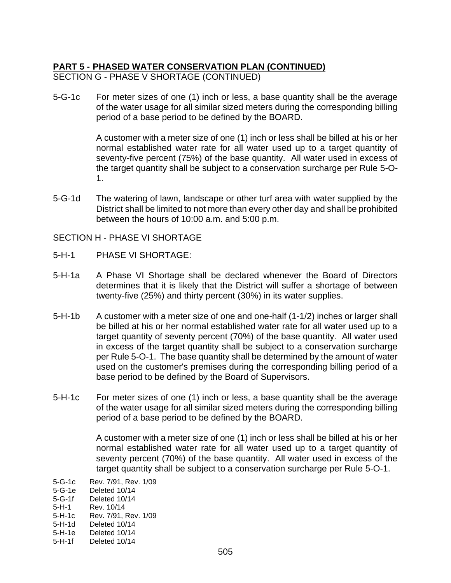### **PART 5 - PHASED WATER CONSERVATION PLAN (CONTINUED)** SECTION G - PHASE V SHORTAGE (CONTINUED)

5-G-1c For meter sizes of one (1) inch or less, a base quantity shall be the average of the water usage for all similar sized meters during the corresponding billing period of a base period to be defined by the BOARD.

> A customer with a meter size of one (1) inch or less shall be billed at his or her normal established water rate for all water used up to a target quantity of seventy-five percent (75%) of the base quantity. All water used in excess of the target quantity shall be subject to a conservation surcharge per Rule 5-O-1.

5-G-1d The watering of lawn, landscape or other turf area with water supplied by the District shall be limited to not more than every other day and shall be prohibited between the hours of 10:00 a.m. and 5:00 p.m.

#### SECTION H - PHASE VI SHORTAGE

- 5-H-1 PHASE VI SHORTAGE:
- 5-H-1a A Phase VI Shortage shall be declared whenever the Board of Directors determines that it is likely that the District will suffer a shortage of between twenty-five (25%) and thirty percent (30%) in its water supplies.
- 5-H-1b A customer with a meter size of one and one-half (1-1/2) inches or larger shall be billed at his or her normal established water rate for all water used up to a target quantity of seventy percent (70%) of the base quantity. All water used in excess of the target quantity shall be subject to a conservation surcharge per Rule 5-O-1. The base quantity shall be determined by the amount of water used on the customer's premises during the corresponding billing period of a base period to be defined by the Board of Supervisors.
- 5-H-1c For meter sizes of one (1) inch or less, a base quantity shall be the average of the water usage for all similar sized meters during the corresponding billing period of a base period to be defined by the BOARD.

A customer with a meter size of one (1) inch or less shall be billed at his or her normal established water rate for all water used up to a target quantity of seventy percent (70%) of the base quantity. All water used in excess of the target quantity shall be subject to a conservation surcharge per Rule 5-O-1.

5-G-1c Rev. 7/91, Rev. 1/09

5-H-1e Deleted 10/14

<sup>5-</sup>G-1e Deleted 10/14

<sup>5-</sup>G-1f Deleted 10/14

<sup>5-</sup>H-1 Rev. 10/14

<sup>5-</sup>H-1c Rev. 7/91, Rev. 1/09

<sup>5-</sup>H-1d Deleted 10/14

<sup>5-</sup>H-1f Deleted 10/14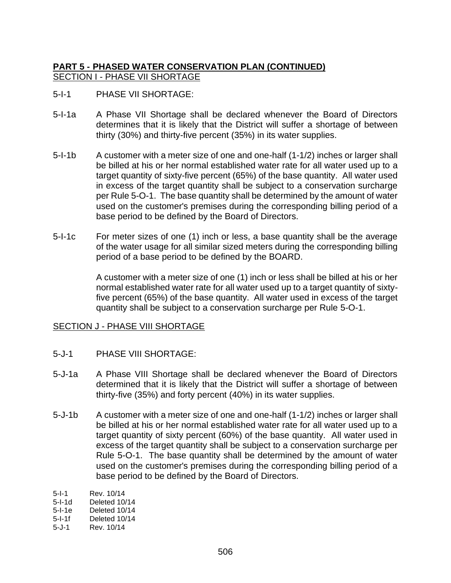### **PART 5 - PHASED WATER CONSERVATION PLAN (CONTINUED)** SECTION I - PHASE VII SHORTAGE

- 5-I-1 PHASE VII SHORTAGE:
- 5-I-1a A Phase VII Shortage shall be declared whenever the Board of Directors determines that it is likely that the District will suffer a shortage of between thirty (30%) and thirty-five percent (35%) in its water supplies.
- 5-I-1b A customer with a meter size of one and one-half (1-1/2) inches or larger shall be billed at his or her normal established water rate for all water used up to a target quantity of sixty-five percent (65%) of the base quantity. All water used in excess of the target quantity shall be subject to a conservation surcharge per Rule 5-O-1. The base quantity shall be determined by the amount of water used on the customer's premises during the corresponding billing period of a base period to be defined by the Board of Directors.
- 5-I-1c For meter sizes of one (1) inch or less, a base quantity shall be the average of the water usage for all similar sized meters during the corresponding billing period of a base period to be defined by the BOARD.

A customer with a meter size of one (1) inch or less shall be billed at his or her normal established water rate for all water used up to a target quantity of sixtyfive percent (65%) of the base quantity. All water used in excess of the target quantity shall be subject to a conservation surcharge per Rule 5-O-1.

# SECTION J - PHASE VIII SHORTAGE

- 5-J-1 PHASE VIII SHORTAGE:
- 5-J-1a A Phase VIII Shortage shall be declared whenever the Board of Directors determined that it is likely that the District will suffer a shortage of between thirty-five (35%) and forty percent (40%) in its water supplies.
- 5-J-1b A customer with a meter size of one and one-half (1-1/2) inches or larger shall be billed at his or her normal established water rate for all water used up to a target quantity of sixty percent (60%) of the base quantity. All water used in excess of the target quantity shall be subject to a conservation surcharge per Rule 5-O-1. The base quantity shall be determined by the amount of water used on the customer's premises during the corresponding billing period of a base period to be defined by the Board of Directors.
- 5-I-1 Rev. 10/14<br>5-I-1d Deleted 10/ Deleted 10/14
- 5-I-1e Deleted 10/14
- 5-I-1f Deleted 10/14
- 5-J-1 Rev. 10/14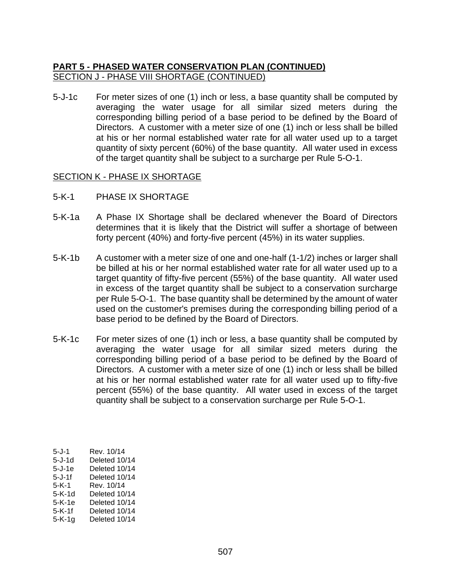### **PART 5 - PHASED WATER CONSERVATION PLAN (CONTINUED)** SECTION J - PHASE VIII SHORTAGE (CONTINUED)

5-J-1c For meter sizes of one (1) inch or less, a base quantity shall be computed by averaging the water usage for all similar sized meters during the corresponding billing period of a base period to be defined by the Board of Directors. A customer with a meter size of one (1) inch or less shall be billed at his or her normal established water rate for all water used up to a target quantity of sixty percent (60%) of the base quantity. All water used in excess of the target quantity shall be subject to a surcharge per Rule 5-O-1.

#### SECTION K - PHASE IX SHORTAGE

- 5-K-1 PHASE IX SHORTAGE
- 5-K-1a A Phase IX Shortage shall be declared whenever the Board of Directors determines that it is likely that the District will suffer a shortage of between forty percent (40%) and forty-five percent (45%) in its water supplies.
- 5-K-1b A customer with a meter size of one and one-half (1-1/2) inches or larger shall be billed at his or her normal established water rate for all water used up to a target quantity of fifty-five percent (55%) of the base quantity. All water used in excess of the target quantity shall be subject to a conservation surcharge per Rule 5-O-1. The base quantity shall be determined by the amount of water used on the customer's premises during the corresponding billing period of a base period to be defined by the Board of Directors.
- 5-K-1c For meter sizes of one (1) inch or less, a base quantity shall be computed by averaging the water usage for all similar sized meters during the corresponding billing period of a base period to be defined by the Board of Directors. A customer with a meter size of one (1) inch or less shall be billed at his or her normal established water rate for all water used up to fifty-five percent (55%) of the base quantity. All water used in excess of the target quantity shall be subject to a conservation surcharge per Rule 5-O-1.

| 5-J-1    | Rev. 10/14    |
|----------|---------------|
| 5-J-1d   | Deleted 10/14 |
| 5-J-1e   | Deleted 10/14 |
| 5-J-1f   | Deleted 10/14 |
| 5-K-1    | Rev. 10/14    |
| $5-K-1d$ | Deleted 10/14 |
| $5-K-1e$ | Deleted 10/14 |
| $5-K-1f$ | Deleted 10/14 |
| 5-K-1g   | Deleted 10/14 |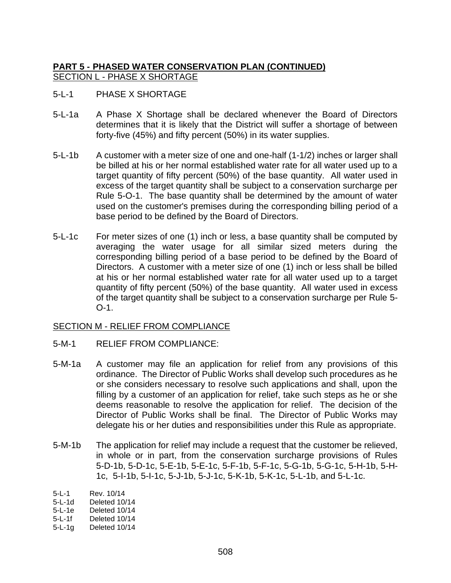## **PART 5 - PHASED WATER CONSERVATION PLAN (CONTINUED)** SECTION L - PHASE X SHORTAGE

- 5-L-1 PHASE X SHORTAGE
- 5-L-1a A Phase X Shortage shall be declared whenever the Board of Directors determines that it is likely that the District will suffer a shortage of between forty-five (45%) and fifty percent (50%) in its water supplies.
- 5-L-1b A customer with a meter size of one and one-half (1-1/2) inches or larger shall be billed at his or her normal established water rate for all water used up to a target quantity of fifty percent (50%) of the base quantity. All water used in excess of the target quantity shall be subject to a conservation surcharge per Rule 5-O-1. The base quantity shall be determined by the amount of water used on the customer's premises during the corresponding billing period of a base period to be defined by the Board of Directors.
- 5-L-1c For meter sizes of one (1) inch or less, a base quantity shall be computed by averaging the water usage for all similar sized meters during the corresponding billing period of a base period to be defined by the Board of Directors. A customer with a meter size of one (1) inch or less shall be billed at his or her normal established water rate for all water used up to a target quantity of fifty percent (50%) of the base quantity. All water used in excess of the target quantity shall be subject to a conservation surcharge per Rule 5- O-1.

#### SECTION M - RELIEF FROM COMPLIANCE

- 5-M-1 RELIEF FROM COMPLIANCE:
- 5-M-1a A customer may file an application for relief from any provisions of this ordinance. The Director of Public Works shall develop such procedures as he or she considers necessary to resolve such applications and shall, upon the filling by a customer of an application for relief, take such steps as he or she deems reasonable to resolve the application for relief. The decision of the Director of Public Works shall be final. The Director of Public Works may delegate his or her duties and responsibilities under this Rule as appropriate.
- 5-M-1b The application for relief may include a request that the customer be relieved, in whole or in part, from the conservation surcharge provisions of Rules 5-D-1b, 5-D-1c, 5-E-1b, 5-E-1c, 5-F-1b, 5-F-1c, 5-G-1b, 5-G-1c, 5-H-1b, 5-H-1c, 5-I-1b, 5-I-1c, 5-J-1b, 5-J-1c, 5-K-1b, 5-K-1c, 5-L-1b, and 5-L-1c.
- 5-L-1 Rev. 10/14<br>5-L-1d Deleted 10/
- Deleted 10/14
- 5-L-1e Deleted 10/14
- 5-L-1f Deleted 10/14
- 5-L-1g Deleted 10/14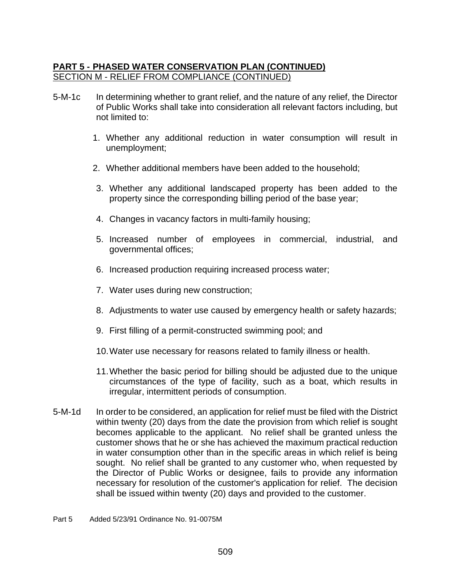### **PART 5 - PHASED WATER CONSERVATION PLAN (CONTINUED)** SECTION M - RELIEF FROM COMPLIANCE (CONTINUED)

- 5-M-1c In determining whether to grant relief, and the nature of any relief, the Director of Public Works shall take into consideration all relevant factors including, but not limited to:
	- 1. Whether any additional reduction in water consumption will result in unemployment;
	- 2. Whether additional members have been added to the household;
	- 3. Whether any additional landscaped property has been added to the property since the corresponding billing period of the base year;
	- 4. Changes in vacancy factors in multi-family housing;
	- 5. Increased number of employees in commercial, industrial, and governmental offices;
	- 6. Increased production requiring increased process water;
	- 7. Water uses during new construction;
	- 8. Adjustments to water use caused by emergency health or safety hazards;
	- 9. First filling of a permit-constructed swimming pool; and
	- 10.Water use necessary for reasons related to family illness or health.
	- 11.Whether the basic period for billing should be adjusted due to the unique circumstances of the type of facility, such as a boat, which results in irregular, intermittent periods of consumption.
- 5-M-1d In order to be considered, an application for relief must be filed with the District within twenty (20) days from the date the provision from which relief is sought becomes applicable to the applicant. No relief shall be granted unless the customer shows that he or she has achieved the maximum practical reduction in water consumption other than in the specific areas in which relief is being sought. No relief shall be granted to any customer who, when requested by the Director of Public Works or designee, fails to provide any information necessary for resolution of the customer's application for relief. The decision shall be issued within twenty (20) days and provided to the customer.

#### Part 5 Added 5/23/91 Ordinance No. 91-0075M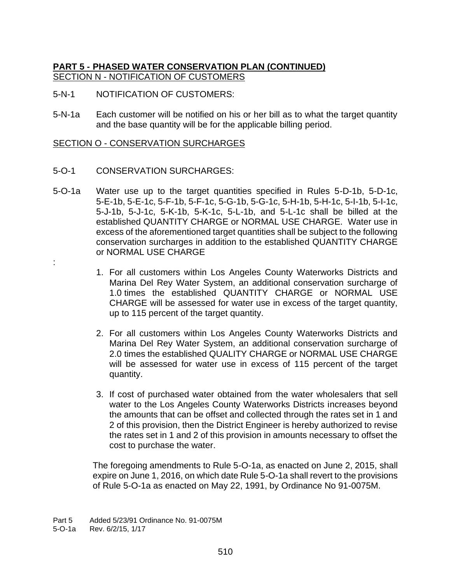# **PART 5 - PHASED WATER CONSERVATION PLAN (CONTINUED)** SECTION N - NOTIFICATION OF CUSTOMERS

- 5-N-1 NOTIFICATION OF CUSTOMERS:
- 5-N-1a Each customer will be notified on his or her bill as to what the target quantity and the base quantity will be for the applicable billing period.

#### SECTION O - CONSERVATION SURCHARGES

- 5-O-1 CONSERVATION SURCHARGES:
- 5-O-1a Water use up to the target quantities specified in Rules 5-D-1b, 5-D-1c, 5-E-1b, 5-E-1c, 5-F-1b, 5-F-1c, 5-G-1b, 5-G-1c, 5-H-1b, 5-H-1c, 5-I-1b, 5-I-1c, 5-J-1b, 5-J-1c, 5-K-1b, 5-K-1c, 5-L-1b, and 5-L-1c shall be billed at the established QUANTITY CHARGE or NORMAL USE CHARGE. Water use in excess of the aforementioned target quantities shall be subject to the following conservation surcharges in addition to the established QUANTITY CHARGE or NORMAL USE CHARGE
	- 1. For all customers within Los Angeles County Waterworks Districts and Marina Del Rey Water System, an additional conservation surcharge of 1.0 times the established QUANTITY CHARGE or NORMAL USE CHARGE will be assessed for water use in excess of the target quantity, up to 115 percent of the target quantity.
	- 2. For all customers within Los Angeles County Waterworks Districts and Marina Del Rey Water System, an additional conservation surcharge of 2.0 times the established QUALITY CHARGE or NORMAL USE CHARGE will be assessed for water use in excess of 115 percent of the target quantity.
	- 3. If cost of purchased water obtained from the water wholesalers that sell water to the Los Angeles County Waterworks Districts increases beyond the amounts that can be offset and collected through the rates set in 1 and 2 of this provision, then the District Engineer is hereby authorized to revise the rates set in 1 and 2 of this provision in amounts necessary to offset the cost to purchase the water.

The foregoing amendments to Rule 5-O-1a, as enacted on June 2, 2015, shall expire on June 1, 2016, on which date Rule 5-O-1a shall revert to the provisions of Rule 5-O-1a as enacted on May 22, 1991, by Ordinance No 91-0075M.

:

Part 5 Added 5/23/91 Ordinance No. 91-0075M

<sup>5-</sup>O-1a Rev. 6/2/15, 1/17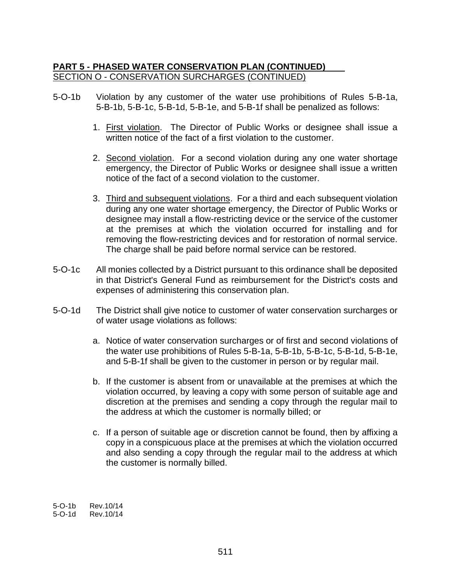### **PART 5 - PHASED WATER CONSERVATION PLAN (CONTINUED)** SECTION O - CONSERVATION SURCHARGES (CONTINUED)

- 5-O-1b Violation by any customer of the water use prohibitions of Rules 5-B-1a, 5-B-1b, 5-B-1c, 5-B-1d, 5-B-1e, and 5-B-1f shall be penalized as follows:
	- 1. First violation. The Director of Public Works or designee shall issue a written notice of the fact of a first violation to the customer.
	- 2. Second violation. For a second violation during any one water shortage emergency, the Director of Public Works or designee shall issue a written notice of the fact of a second violation to the customer.
	- 3. Third and subsequent violations. For a third and each subsequent violation during any one water shortage emergency, the Director of Public Works or designee may install a flow-restricting device or the service of the customer at the premises at which the violation occurred for installing and for removing the flow-restricting devices and for restoration of normal service. The charge shall be paid before normal service can be restored.
- 5-O-1c All monies collected by a District pursuant to this ordinance shall be deposited in that District's General Fund as reimbursement for the District's costs and expenses of administering this conservation plan.
- 5-O-1d The District shall give notice to customer of water conservation surcharges or of water usage violations as follows:
	- a. Notice of water conservation surcharges or of first and second violations of the water use prohibitions of Rules 5-B-1a, 5-B-1b, 5-B-1c, 5-B-1d, 5-B-1e, and 5-B-1f shall be given to the customer in person or by regular mail.
	- b. If the customer is absent from or unavailable at the premises at which the violation occurred, by leaving a copy with some person of suitable age and discretion at the premises and sending a copy through the regular mail to the address at which the customer is normally billed; or
	- c. If a person of suitable age or discretion cannot be found, then by affixing a copy in a conspicuous place at the premises at which the violation occurred and also sending a copy through the regular mail to the address at which the customer is normally billed.

5-O-1b Rev.10/14<br>5-O-1d Rev.10/14 5-O-1d Rev.10/14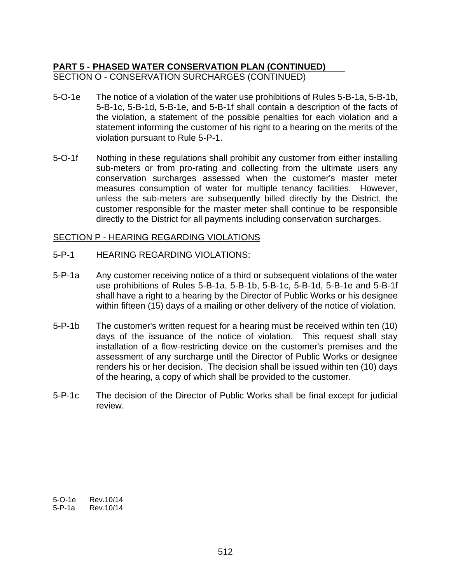### **PART 5 - PHASED WATER CONSERVATION PLAN (CONTINUED)** SECTION O - CONSERVATION SURCHARGES (CONTINUED)

- 5-O-1e The notice of a violation of the water use prohibitions of Rules 5-B-1a, 5-B-1b, 5-B-1c, 5-B-1d, 5-B-1e, and 5-B-1f shall contain a description of the facts of the violation, a statement of the possible penalties for each violation and a statement informing the customer of his right to a hearing on the merits of the violation pursuant to Rule 5-P-1.
- 5-O-1f Nothing in these regulations shall prohibit any customer from either installing sub-meters or from pro-rating and collecting from the ultimate users any conservation surcharges assessed when the customer's master meter measures consumption of water for multiple tenancy facilities. However, unless the sub-meters are subsequently billed directly by the District, the customer responsible for the master meter shall continue to be responsible directly to the District for all payments including conservation surcharges.

#### SECTION P - HEARING REGARDING VIOLATIONS

- 5-P-1 HEARING REGARDING VIOLATIONS:
- 5-P-1a Any customer receiving notice of a third or subsequent violations of the water use prohibitions of Rules 5-B-1a, 5-B-1b, 5-B-1c, 5-B-1d, 5-B-1e and 5-B-1f shall have a right to a hearing by the Director of Public Works or his designee within fifteen (15) days of a mailing or other delivery of the notice of violation.
- 5-P-1b The customer's written request for a hearing must be received within ten (10) days of the issuance of the notice of violation. This request shall stay installation of a flow-restricting device on the customer's premises and the assessment of any surcharge until the Director of Public Works or designee renders his or her decision. The decision shall be issued within ten (10) days of the hearing, a copy of which shall be provided to the customer.
- 5-P-1c The decision of the Director of Public Works shall be final except for judicial review.

5-O-1e Rev.10/14 5-P-1a Rev.10/14